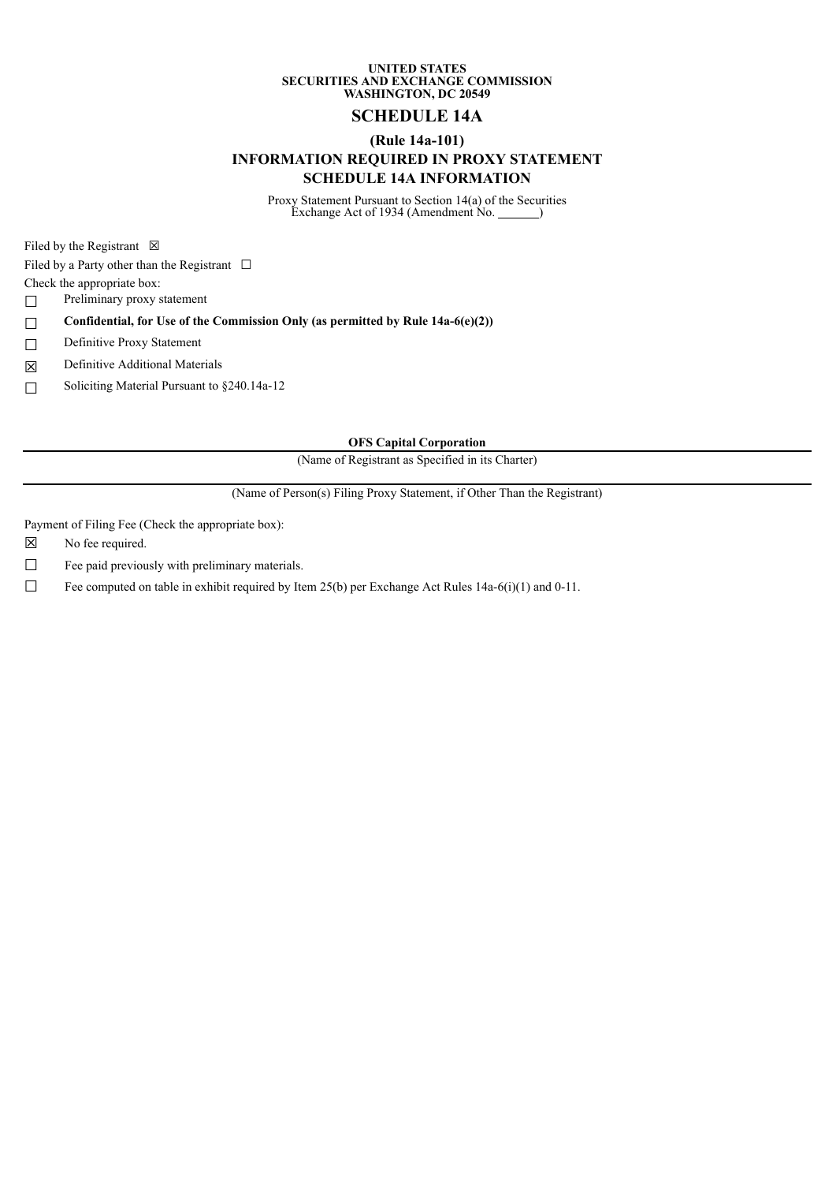### **UNITED STATES SECURITIES AND EXCHANGE COMMISSION WASHINGTON, DC 20549**

# **SCHEDULE 14A**

### **(Rule 14a-101)**

## **INFORMATION REQUIRED IN PROXY STATEMENT SCHEDULE 14A INFORMATION**

Proxy Statement Pursuant to Section 14(a) of the Securities Exchange Act of 1934 (Amendment No. 1886)

Filed by the Registrant  $\boxtimes$ 

Filed by a Party other than the Registrant  $\Box$ 

Check the appropriate box:

☐ Preliminary proxy statement

☐ **Confidential, for Use of the Commission Only (as permitted by Rule 14a-6(e)(2))**

□ Definitive Proxy Statement

☒ Definitive Additional Materials

☐ Soliciting Material Pursuant to §240.14a-12

**OFS Capital Corporation**

(Name of Registrant as Specified in its Charter)

(Name of Person(s) Filing Proxy Statement, if Other Than the Registrant)

Payment of Filing Fee (Check the appropriate box):

☒ No fee required.

□ Fee paid previously with preliminary materials.

□ Fee computed on table in exhibit required by Item 25(b) per Exchange Act Rules  $14a-6(i)(1)$  and 0-11.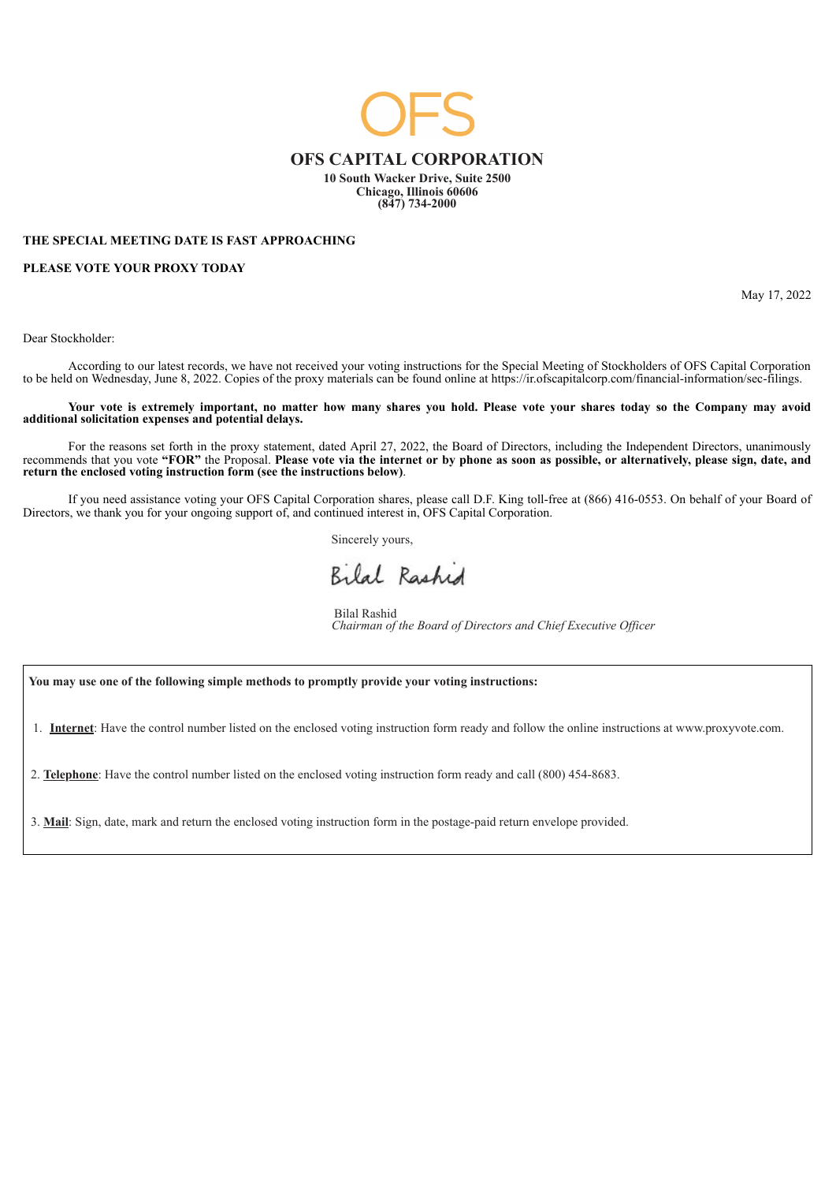

#### **THE SPECIAL MEETING DATE IS FAST APPROACHING**

**PLEASE VOTE YOUR PROXY TODAY**

May 17, 2022

Dear Stockholder:

According to our latest records, we have not received your voting instructions for the Special Meeting of Stockholders of OFS Capital Corporation to be held on Wednesday, June 8, 2022. Copies of the proxy materials can be found online at https://ir.ofscapitalcorp.com/financial-information/sec-filings.

Your vote is extremely important, no matter how many shares you hold. Please vote your shares today so the Company may avoid **additional solicitation expenses and potential delays.**

For the reasons set forth in the proxy statement, dated April 27, 2022, the Board of Directors, including the Independent Directors, unanimously recommends that you vote "FOR" the Proposal. Please vote via the internet or by phone as soon as possible, or alternatively, please sign, date, and **return the enclosed voting instruction form (see the instructions below)**.

If you need assistance voting your OFS Capital Corporation shares, please call D.F. King toll-free at (866) 416-0553. On behalf of your Board of Directors, we thank you for your ongoing support of, and continued interest in, OFS Capital Corporation.

Sincerely yours,

Bilal Rashid

Bilal Rashid *Chairman of the Board of Directors and Chief Executive Of icer*

**You may use one of the following simple methods to promptly provide your voting instructions:**

1. **Internet**: Have the control number listed on the enclosed voting instruction form ready and follow the online instructions at www.proxyvote.com.

2. **Telephone**: Have the control number listed on the enclosed voting instruction form ready and call (800) 454-8683.

3. **Mail**: Sign, date, mark and return the enclosed voting instruction form in the postage-paid return envelope provided.